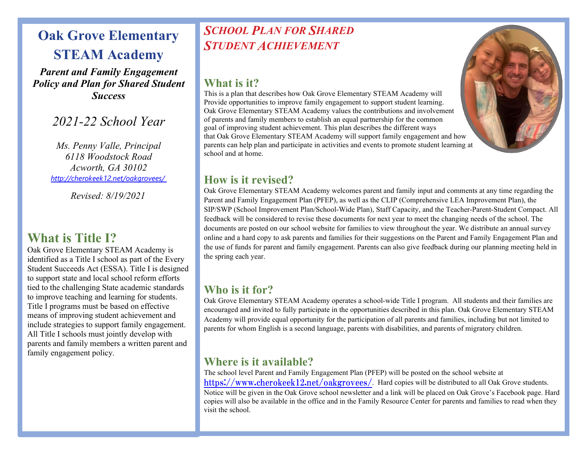## **Oak Grove Elementary STEAM Academy**

*Parent and Family Engagement Policy and Plan for Shared Student Success*

*2021-22 School Year*

*Ms. Penny Valle, Principal 6118 Woodstock Road Acworth, GA 30102 <http://cherokeek12.net/oakgrovees/>*

*Revised: 8/19/2021* 

## **What is Title I?**

Oak Grove Elementary STEAM Academy is identified as a Title I school as part of the Every Student Succeeds Act (ESSA). Title I is designed to support state and local school reform efforts tied to the challenging State academic standards to improve teaching and learning for students. Title I programs must be based on effective means of improving student achievement and include strategies to support family engagement. All Title I schools must jointly develop with parents and family members a written parent and family engagement policy.

## *SCHOOL PLAN FOR SHARED STUDENT ACHIEVEMENT*

#### **What is it?**

This is a plan that describes how Oak Grove Elementary STEAM Academy will Provide opportunities to improve family engagement to support student learning. Oak Grove Elementary STEAM Academy values the contributions and involvement of parents and family members to establish an equal partnership for the common goal of improving student achievement. This plan describes the different ways that Oak Grove Elementary STEAM Academy will support family engagement and how parents can help plan and participate in activities and events to promote student learning at school and at home.



### **How is it revised?**

Oak Grove Elementary STEAM Academy welcomes parent and family input and comments at any time regarding the Parent and Family Engagement Plan (PFEP), as well as the CLIP (Comprehensive LEA Improvement Plan), the SIP/SWP (School Improvement Plan/School-Wide Plan), Staff Capacity, and the Teacher-Parent-Student Compact. All feedback will be considered to revise these documents for next year to meet the changing needs of the school. The documents are posted on our school website for families to view throughout the year. We distribute an annual survey online and a hard copy to ask parents and families for their suggestions on the Parent and Family Engagement Plan and the use of funds for parent and family engagement. Parents can also give feedback during our planning meeting held in the spring each year.

### **Who is it for?**

Oak Grove Elementary STEAM Academy operates a school-wide Title I program. All students and their families are encouraged and invited to fully participate in the opportunities described in this plan. Oak Grove Elementary STEAM Academy will provide equal opportunity for the participation of all parents and families, including but not limited to parents for whom English is a second language, parents with disabilities, and parents of migratory children.

### **Where is it available?**

The school level Parent and Family Engagement Plan (PFEP) will be posted on the school website at <https://www.cherokeek12.net/oakgrovees/>. Hard copies will be distributed to all Oak Grove students. Notice will be given in the Oak Grove school newsletter and a link will be placed on Oak Grove's Facebook page. Hard copies will also be available in the office and in the Family Resource Center for parents and families to read when they visit the school.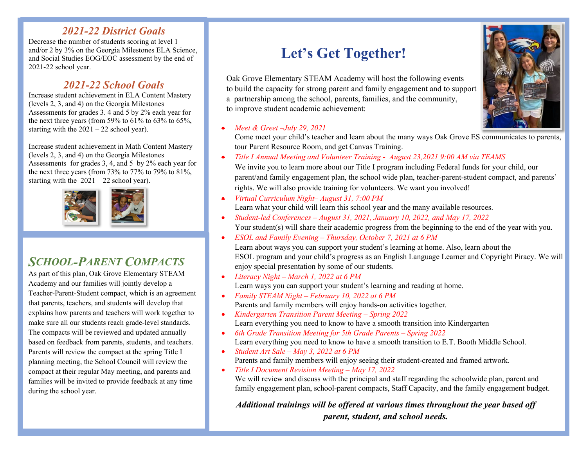#### *2021-22 District Goals*

Decrease the number of students scoring at level 1 and/or 2 by 3% on the Georgia Milestones ELA Science, and Social Studies EOG/EOC assessment by the end of 2021-22 school year.

### *2021-22 School Goals*

Increase student achievement in ELA Content Mastery (levels 2, 3, and 4) on the Georgia Milestones Assessments for grades 3. 4 and 5 by 2% each year for the next three years (from 59% to 61% to 63% to 65%, starting with the  $2021 - 22$  school year).

Increase student achievement in Math Content Mastery (levels 2, 3, and 4) on the Georgia Milestones Assessments for grades 3, 4, and 5 by 2% each year for the next three years (from 73% to 77% to 79% to 81%, starting with the 2021 – 22 school year).



## *SCHOOL-PARENT COMPACTS*

As part of this plan, Oak Grove Elementary STEAM Academy and our families will jointly develop a Teacher-Parent-Student compact, which is an agreement that parents, teachers, and students will develop that explains how parents and teachers will work together to make sure all our students reach grade-level standards. The compacts will be reviewed and updated annually based on feedback from parents, students, and teachers. Parents will review the compact at the spring Title I planning meeting, the School Council will review the compact at their regular May meeting, and parents and families will be invited to provide feedback at any time during the school year.

# **Let's Get Together!**

 Oak Grove Elementary STEAM Academy will host the following events to build the capacity for strong parent and family engagement and to support a partnership among the school, parents, families, and the community, to improve student academic achievement:

#### • *Meet & Greet –July 29, 2021*

Come meet your child's teacher and learn about the many ways Oak Grove ES communicates to parents, tour Parent Resource Room, and get Canvas Training.

• *Title I Annual Meeting and Volunteer Training - August 23,2021 9:00 AM via TEAMS*

We invite you to learn more about our Title I program including Federal funds for your child, our parent/and family engagement plan, the school wide plan, teacher-parent-student compact, and parents' rights. We will also provide training for volunteers. We want you involved!

- *Virtual Curriculum Night– August 31, 7:00 PM* Learn what your child will learn this school year and the many available resources.
- *Student-led Conferences – August 31, 2021, January 10, 2022, and May 17, 2022* Your student(s) will share their academic progress from the beginning to the end of the year with you.
- *ESOL and Family Evening – Thursday, October 7, 2021 at 6 PM* Learn about ways you can support your student's learning at home. Also, learn about the ESOL program and your child's progress as an English Language Learner and Copyright Piracy. We will enjoy special presentation by some of our students.
- *Literacy Night – March 1, 2022 at 6 PM* Learn ways you can support your student's learning and reading at home.
- *Family STEAM Night – February 10, 2022 at 6 PM* Parents and family members will enjoy hands-on activities together*.*
- *Kindergarten Transition Parent Meeting – Spring 2022* Learn everything you need to know to have a smooth transition into Kindergarten
- *6th Grade Transition Meeting for 5th Grade Parents – Spring 2022* Learn everything you need to know to have a smooth transition to E.T. Booth Middle School.
- *Student Art Sale – May 3, 2022 at 6 PM* Parents and family members will enjoy seeing their student-created and framed artwork.
- *Title I Document Revision Meeting – May 17, 2022* We will review and discuss with the principal and staff regarding the schoolwide plan, parent and family engagement plan, school-parent compacts, Staff Capacity, and the family engagement budget.

*Additional trainings will be offered at various times throughout the year based off parent, student, and school needs.*

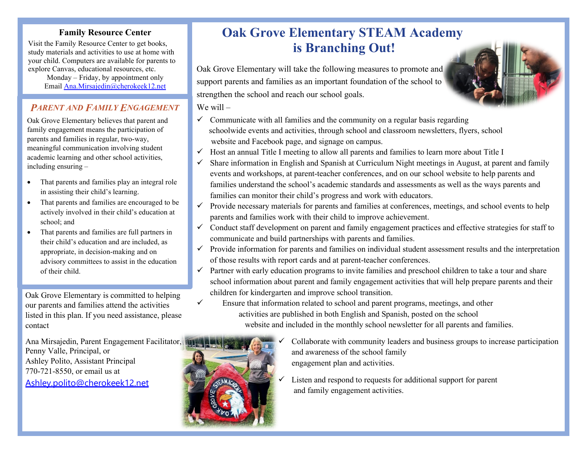#### **Family Resource Center**

 your child. Computers are available for parents to Visit the Family Resource Center to get books, study materials and activities to use at home with explore Canvas, educational resources, etc.

> Monday – Friday, by appointment only Email [Ana.Mirsajedin@cherokeek12.net](mailto:Ana.Mirsajedin@cherokeek12.net)

#### *PARENT AND FAMILY ENGAGEMENT*

Oak Grove Elementary believes that parent and family engagement means the participation of parents and families in regular, two-way, meaningful communication involving student academic learning and other school activities, including ensuring –

- That parents and families play an integral role in assisting their child's learning.
- That parents and families are encouraged to be actively involved in their child's education at school; and
- That parents and families are full partners in their child's education and are included, as appropriate, in decision-making and on advisory committees to assist in the education of their child.

Oak Grove Elementary is committed to helping our parents and families attend the activities listed in this plan. If you need assistance, please contact

Ana Mirsajedin, Parent Engagement Facilitator, Penny Valle, Principal, or Ashley Polito, Assistant Principal 770-721-8550, or email us at [Ashley.polito@cherokeek12.net](mailto:Ashley.polito@cherokeek12.net)

## **Oak Grove Elementary STEAM Academy is Branching Out!**

Oak Grove Elementary will take the following measures to promote and support parents and families as an important foundation of the school to strengthen the school and reach our school goals.

We will –

- $\checkmark$  Communicate with all families and the community on a regular basis regarding schoolwide events and activities, through school and classroom newsletters, flyers, school website and Facebook page, and signage on campus.
- $\checkmark$  Host an annual Title I meeting to allow all parents and families to learn more about Title I
- $\checkmark$  Share information in English and Spanish at Curriculum Night meetings in August, at parent and family events and workshops, at parent-teacher conferences, and on our school website to help parents and families understand the school's academic standards and assessments as well as the ways parents and families can monitor their child's progress and work with educators.
- $\checkmark$  Provide necessary materials for parents and families at conferences, meetings, and school events to help parents and families work with their child to improve achievement.
- $\checkmark$  Conduct staff development on parent and family engagement practices and effective strategies for staff to communicate and build partnerships with parents and families.
- $\checkmark$  Provide information for parents and families on individual student assessment results and the interpretation of those results with report cards and at parent-teacher conferences.
- $\checkmark$  Partner with early education programs to invite families and preschool children to take a tour and share school information about parent and family engagement activities that will help prepare parents and their children for kindergarten and improve school transition.
- $\checkmark$  Ensure that information related to school and parent programs, meetings, and other activities are published in both English and Spanish, posted on the school website and included in the monthly school newsletter for all parents and families.



- Collaborate with community leaders and business groups to increase participation and awareness of the school family engagement plan and activities.
- Listen and respond to requests for additional support for parent and family engagement activities.